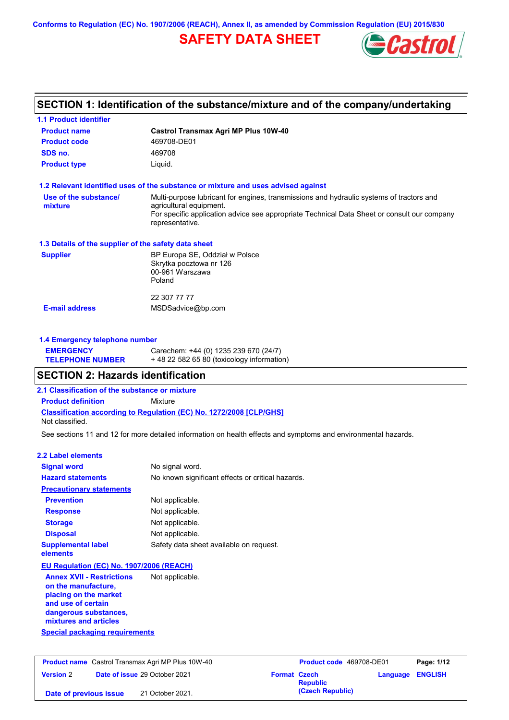## **SAFETY DATA SHEET**



# **SECTION 1: Identification of the substance/mixture and of the company/undertaking**

| <b>1.1 Product identifier</b>                                                                                                   |                                                                                                                                                                                                                                       |
|---------------------------------------------------------------------------------------------------------------------------------|---------------------------------------------------------------------------------------------------------------------------------------------------------------------------------------------------------------------------------------|
| <b>Product name</b>                                                                                                             | Castrol Transmax Agri MP Plus 10W-40                                                                                                                                                                                                  |
| <b>Product code</b>                                                                                                             | 469708-DE01                                                                                                                                                                                                                           |
| SDS no.                                                                                                                         | 469708                                                                                                                                                                                                                                |
| <b>Product type</b>                                                                                                             | Liquid.                                                                                                                                                                                                                               |
|                                                                                                                                 | 1.2 Relevant identified uses of the substance or mixture and uses advised against                                                                                                                                                     |
| Use of the substance/<br>mixture                                                                                                | Multi-purpose lubricant for engines, transmissions and hydraulic systems of tractors and<br>agricultural equipment.<br>For specific application advice see appropriate Technical Data Sheet or consult our company<br>representative. |
| 1.3 Details of the supplier of the safety data sheet                                                                            |                                                                                                                                                                                                                                       |
| <b>Supplier</b>                                                                                                                 | BP Europa SE, Oddział w Polsce<br>Skrytka pocztowa nr 126<br>00-961 Warszawa<br>Poland                                                                                                                                                |
|                                                                                                                                 | 22 307 77 77                                                                                                                                                                                                                          |
| <b>E-mail address</b>                                                                                                           | MSDSadvice@bp.com                                                                                                                                                                                                                     |
| 1.4 Emergency telephone number                                                                                                  |                                                                                                                                                                                                                                       |
| <b>EMERGENCY</b>                                                                                                                | Carechem: +44 (0) 1235 239 670 (24/7)                                                                                                                                                                                                 |
| <b>TELEPHONE NUMBER</b>                                                                                                         | +48 22 582 65 80 (toxicology information)                                                                                                                                                                                             |
| <b>SECTION 2: Hazards identification</b>                                                                                        |                                                                                                                                                                                                                                       |
| 2.1 Classification of the substance or mixture                                                                                  |                                                                                                                                                                                                                                       |
| <b>Product definition</b>                                                                                                       | <b>Mixture</b>                                                                                                                                                                                                                        |
| Not classified.                                                                                                                 | <b>Classification according to Regulation (EC) No. 1272/2008 [CLP/GHS]</b>                                                                                                                                                            |
|                                                                                                                                 | See sections 11 and 12 for more detailed information on health effects and symptoms and environmental hazards.                                                                                                                        |
| <b>2.2 Label elements</b>                                                                                                       |                                                                                                                                                                                                                                       |
| <b>Signal word</b>                                                                                                              | No signal word.                                                                                                                                                                                                                       |
| <b>Hazard statements</b>                                                                                                        | No known significant effects or critical hazards.                                                                                                                                                                                     |
| <b>Precautionary statements</b>                                                                                                 |                                                                                                                                                                                                                                       |
| <b>Prevention</b>                                                                                                               | Not applicable.                                                                                                                                                                                                                       |
| <b>Response</b>                                                                                                                 | Not applicable.                                                                                                                                                                                                                       |
| <b>Storage</b>                                                                                                                  | Not applicable.                                                                                                                                                                                                                       |
| <b>Disposal</b>                                                                                                                 | Not applicable.                                                                                                                                                                                                                       |
| <b>Supplemental label</b><br>elements                                                                                           | Safety data sheet available on request.                                                                                                                                                                                               |
| EU Regulation (EC) No. 1907/2006 (REACH)                                                                                        |                                                                                                                                                                                                                                       |
| <b>Annex XVII - Restrictions</b><br>on the manufacture,<br>placing on the market<br>and use of certain<br>dangerous substances, | Not applicable.                                                                                                                                                                                                                       |
| mixtures and articles                                                                                                           |                                                                                                                                                                                                                                       |
| <b>Special packaging requirements</b>                                                                                           |                                                                                                                                                                                                                                       |

| <b>Product name</b> Castrol Transmax Agri MP Plus 10W-40 |  | <b>Product code</b> 469708-DE01      |                     | Page: 1/12       |  |                  |
|----------------------------------------------------------|--|--------------------------------------|---------------------|------------------|--|------------------|
| <b>Version 2</b>                                         |  | <b>Date of issue 29 October 2021</b> | <b>Format Czech</b> | <b>Republic</b>  |  | Language ENGLISH |
| Date of previous issue                                   |  | 21 October 2021.                     |                     | (Czech Republic) |  |                  |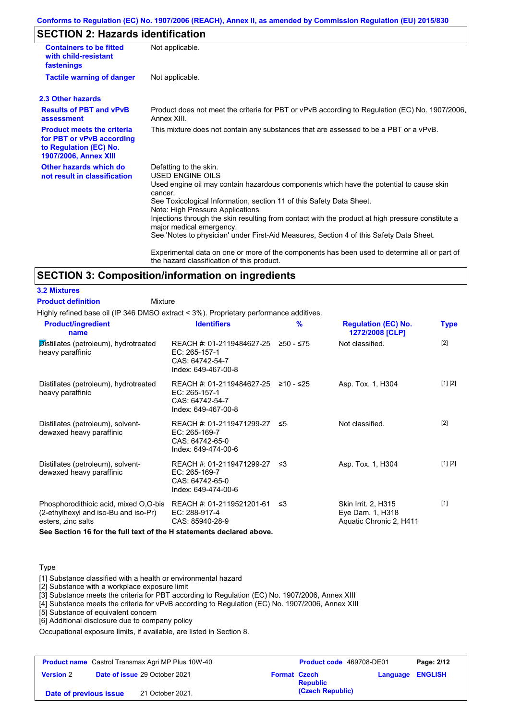## **SECTION 2: Hazards identification**

| <b>Containers to be fitted</b><br>with child-resistant<br>fastenings                                              | Not applicable.                                                                                                                                                                                                                                                                                                                                                                                                                                                                                 |
|-------------------------------------------------------------------------------------------------------------------|-------------------------------------------------------------------------------------------------------------------------------------------------------------------------------------------------------------------------------------------------------------------------------------------------------------------------------------------------------------------------------------------------------------------------------------------------------------------------------------------------|
| <b>Tactile warning of danger</b>                                                                                  | Not applicable.                                                                                                                                                                                                                                                                                                                                                                                                                                                                                 |
| 2.3 Other hazards                                                                                                 |                                                                                                                                                                                                                                                                                                                                                                                                                                                                                                 |
| <b>Results of PBT and vPvB</b><br>assessment                                                                      | Product does not meet the criteria for PBT or vPvB according to Regulation (EC) No. 1907/2006,<br>Annex XIII.                                                                                                                                                                                                                                                                                                                                                                                   |
| <b>Product meets the criteria</b><br>for PBT or vPvB according<br>to Regulation (EC) No.<br>1907/2006, Annex XIII | This mixture does not contain any substances that are assessed to be a PBT or a vPvB.                                                                                                                                                                                                                                                                                                                                                                                                           |
| Other hazards which do<br>not result in classification                                                            | Defatting to the skin.<br><b>USED ENGINE OILS</b><br>Used engine oil may contain hazardous components which have the potential to cause skin<br>cancer.<br>See Toxicological Information, section 11 of this Safety Data Sheet.<br>Note: High Pressure Applications<br>Injections through the skin resulting from contact with the product at high pressure constitute a<br>major medical emergency.<br>See 'Notes to physician' under First-Aid Measures, Section 4 of this Safety Data Sheet. |
|                                                                                                                   | Experimental data on one or more of the components has been used to determine all or part of<br>the hazard classification of this product.                                                                                                                                                                                                                                                                                                                                                      |

## **SECTION 3: Composition/information on ingredients**

#### **3.2 Mixtures**

Mixture **Product definition**

Highly refined base oil (IP 346 DMSO extract < 3%). Proprietary performance additives.

| <b>Product/ingredient</b><br>name                                                                   | <b>Identifiers</b>                                                                             | $\frac{9}{6}$ | <b>Regulation (EC) No.</b><br>1272/2008 [CLP]                      | <b>Type</b> |
|-----------------------------------------------------------------------------------------------------|------------------------------------------------------------------------------------------------|---------------|--------------------------------------------------------------------|-------------|
| Distillates (petroleum), hydrotreated<br>heavy paraffinic                                           | REACH #: 01-2119484627-25<br>EC: 265-157-1<br>CAS: 64742-54-7<br>Index: 649-467-00-8           | ≥50 - ≤75     | Not classified.                                                    | $[2]$       |
| Distillates (petroleum), hydrotreated<br>heavy paraffinic                                           | REACH #: 01-2119484627-25 ≥10 - ≤25<br>EC: 265-157-1<br>CAS: 64742-54-7<br>Index: 649-467-00-8 |               | Asp. Tox. 1, H304                                                  | [1] [2]     |
| Distillates (petroleum), solvent-<br>dewaxed heavy paraffinic                                       | REACH #: 01-2119471299-27 ≤5<br>EC: 265-169-7<br>CAS: 64742-65-0<br>Index: 649-474-00-6        |               | Not classified.                                                    | $[2]$       |
| Distillates (petroleum), solvent-<br>dewaxed heavy paraffinic                                       | REACH #: 01-2119471299-27 ≤3<br>EC: 265-169-7<br>CAS: 64742-65-0<br>Index: 649-474-00-6        |               | Asp. Tox. 1, H304                                                  | [1] [2]     |
| Phosphorodithioic acid, mixed O,O-bis<br>(2-ethylhexyl and iso-Bu and iso-Pr)<br>esters, zinc salts | REACH #: 01-2119521201-61<br>EC: 288-917-4<br>CAS: 85940-28-9                                  | -≤3           | Skin Irrit. 2, H315<br>Eye Dam. 1, H318<br>Aquatic Chronic 2, H411 | $[1]$       |

**See Section 16 for the full text of the H statements declared above.**

#### **Type**

[1] Substance classified with a health or environmental hazard

[2] Substance with a workplace exposure limit

[3] Substance meets the criteria for PBT according to Regulation (EC) No. 1907/2006, Annex XIII

[4] Substance meets the criteria for vPvB according to Regulation (EC) No. 1907/2006, Annex XIII

- [5] Substance of equivalent concern
- [6] Additional disclosure due to company policy

Occupational exposure limits, if available, are listed in Section 8.

| <b>Product name</b> Castrol Transmax Agri MP Plus 10W-40 |  |                                      | Product code 469708-DE01 |                  | Page: 2/12              |  |
|----------------------------------------------------------|--|--------------------------------------|--------------------------|------------------|-------------------------|--|
| <b>Version 2</b>                                         |  | <b>Date of issue 29 October 2021</b> | <b>Format Czech</b>      | <b>Republic</b>  | <b>Language ENGLISH</b> |  |
| 21 October 2021.<br>Date of previous issue               |  |                                      |                          | (Czech Republic) |                         |  |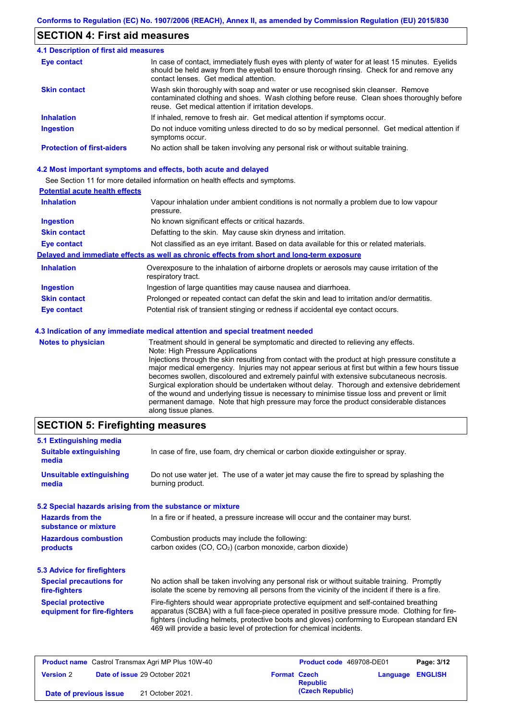## **SECTION 4: First aid measures**

| <b>4.1 Description of first aid measures</b> |                                                                                                                                                                                                                                         |
|----------------------------------------------|-----------------------------------------------------------------------------------------------------------------------------------------------------------------------------------------------------------------------------------------|
| <b>Eye contact</b>                           | In case of contact, immediately flush eyes with plenty of water for at least 15 minutes. Eyelids<br>should be held away from the eyeball to ensure thorough rinsing. Check for and remove any<br>contact lenses. Get medical attention. |
| <b>Skin contact</b>                          | Wash skin thoroughly with soap and water or use recognised skin cleanser. Remove<br>contaminated clothing and shoes. Wash clothing before reuse. Clean shoes thoroughly before<br>reuse. Get medical attention if irritation develops.  |
| <b>Inhalation</b>                            | If inhaled, remove to fresh air. Get medical attention if symptoms occur.                                                                                                                                                               |
| <b>Ingestion</b>                             | Do not induce vomiting unless directed to do so by medical personnel. Get medical attention if<br>symptoms occur.                                                                                                                       |
| <b>Protection of first-aiders</b>            | No action shall be taken involving any personal risk or without suitable training.                                                                                                                                                      |

#### **4.2 Most important symptoms and effects, both acute and delayed**

See Section 11 for more detailed information on health effects and symptoms.

### **Potential acute health effects**

| <b>Inhalation</b>         | Vapour inhalation under ambient conditions is not normally a problem due to low vapour<br>pressure.                                                                                                                        |
|---------------------------|----------------------------------------------------------------------------------------------------------------------------------------------------------------------------------------------------------------------------|
| <b>Ingestion</b>          | No known significant effects or critical hazards.                                                                                                                                                                          |
| <b>Skin contact</b>       | Defatting to the skin. May cause skin dryness and irritation.                                                                                                                                                              |
| <b>Eye contact</b>        | Not classified as an eye irritant. Based on data available for this or related materials.                                                                                                                                  |
|                           | Delayed and immediate effects as well as chronic effects from short and long-term exposure                                                                                                                                 |
| <b>Inhalation</b>         | Overexposure to the inhalation of airborne droplets or aerosols may cause irritation of the<br>respiratory tract.                                                                                                          |
| <b>Ingestion</b>          | Ingestion of large quantities may cause nausea and diarrhoea.                                                                                                                                                              |
| <b>Skin contact</b>       | Prolonged or repeated contact can defat the skin and lead to irritation and/or dermatitis.                                                                                                                                 |
| <b>Eye contact</b>        | Potential risk of transient stinging or redness if accidental eye contact occurs.                                                                                                                                          |
|                           | 4.3 Indication of any immediate medical attention and special treatment needed                                                                                                                                             |
| <b>Notes to physician</b> | Treatment should in general be symptomatic and directed to relieving any effects.<br>Note: High Pressure Applications<br>Injections through the skin resulting from contact with the product at high pressure constitute a |

Injections through the skin resulting from contact with the product at high pressure constitute a major medical emergency. Injuries may not appear serious at first but within a few hours tissue becomes swollen, discoloured and extremely painful with extensive subcutaneous necrosis. Surgical exploration should be undertaken without delay. Thorough and extensive debridement of the wound and underlying tissue is necessary to minimise tissue loss and prevent or limit permanent damage. Note that high pressure may force the product considerable distances along tissue planes.

## **SECTION 5: Firefighting measures**

| 5.1 Extinguishing media                                   |                                                                                                                                                                                                                                                                                                                                                                   |
|-----------------------------------------------------------|-------------------------------------------------------------------------------------------------------------------------------------------------------------------------------------------------------------------------------------------------------------------------------------------------------------------------------------------------------------------|
| <b>Suitable extinguishing</b><br>media                    | In case of fire, use foam, dry chemical or carbon dioxide extinguisher or spray.                                                                                                                                                                                                                                                                                  |
| <b>Unsuitable extinguishing</b><br>media                  | Do not use water jet. The use of a water jet may cause the fire to spread by splashing the<br>burning product.                                                                                                                                                                                                                                                    |
| 5.2 Special hazards arising from the substance or mixture |                                                                                                                                                                                                                                                                                                                                                                   |
| <b>Hazards from the</b><br>substance or mixture           | In a fire or if heated, a pressure increase will occur and the container may burst.                                                                                                                                                                                                                                                                               |
| <b>Hazardous combustion</b><br>products                   | Combustion products may include the following:<br>carbon oxides (CO, CO <sub>2</sub> ) (carbon monoxide, carbon dioxide)                                                                                                                                                                                                                                          |
| 5.3 Advice for firefighters                               |                                                                                                                                                                                                                                                                                                                                                                   |
| <b>Special precautions for</b><br>fire-fighters           | No action shall be taken involving any personal risk or without suitable training. Promptly<br>isolate the scene by removing all persons from the vicinity of the incident if there is a fire.                                                                                                                                                                    |
| <b>Special protective</b><br>equipment for fire-fighters  | Fire-fighters should wear appropriate protective equipment and self-contained breathing<br>apparatus (SCBA) with a full face-piece operated in positive pressure mode. Clothing for fire-<br>fighters (including helmets, protective boots and gloves) conforming to European standard EN<br>469 will provide a basic level of protection for chemical incidents. |

| <b>Product name</b> Castrol Transmax Agri MP Plus 10W-40 |  | <b>Product code</b> 469708-DE01      |                     | Page: 3/12       |  |                         |
|----------------------------------------------------------|--|--------------------------------------|---------------------|------------------|--|-------------------------|
| <b>Version 2</b>                                         |  | <b>Date of issue 29 October 2021</b> | <b>Format Czech</b> | <b>Republic</b>  |  | <b>Language ENGLISH</b> |
| Date of previous issue                                   |  | 21 October 2021.                     |                     | (Czech Republic) |  |                         |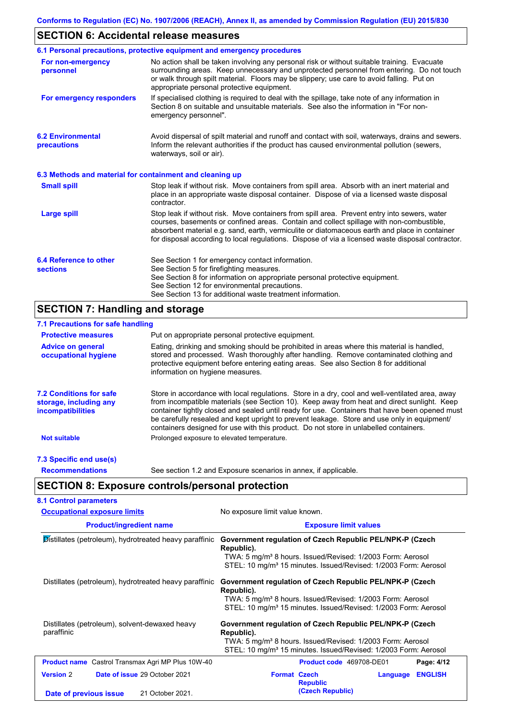## **SECTION 6: Accidental release measures**

|                                                          | 6.1 Personal precautions, protective equipment and emergency procedures                                                                                                                                                                                                                                                                                                                        |
|----------------------------------------------------------|------------------------------------------------------------------------------------------------------------------------------------------------------------------------------------------------------------------------------------------------------------------------------------------------------------------------------------------------------------------------------------------------|
| For non-emergency<br>personnel                           | No action shall be taken involving any personal risk or without suitable training. Evacuate<br>surrounding areas. Keep unnecessary and unprotected personnel from entering. Do not touch<br>or walk through spilt material. Floors may be slippery; use care to avoid falling. Put on<br>appropriate personal protective equipment.                                                            |
| For emergency responders                                 | If specialised clothing is required to deal with the spillage, take note of any information in<br>Section 8 on suitable and unsuitable materials. See also the information in "For non-<br>emergency personnel".                                                                                                                                                                               |
| <b>6.2 Environmental</b><br>precautions                  | Avoid dispersal of spilt material and runoff and contact with soil, waterways, drains and sewers.<br>Inform the relevant authorities if the product has caused environmental pollution (sewers,<br>waterways, soil or air).                                                                                                                                                                    |
| 6.3 Methods and material for containment and cleaning up |                                                                                                                                                                                                                                                                                                                                                                                                |
| <b>Small spill</b>                                       | Stop leak if without risk. Move containers from spill area. Absorb with an inert material and<br>place in an appropriate waste disposal container. Dispose of via a licensed waste disposal<br>contractor.                                                                                                                                                                                     |
| <b>Large spill</b>                                       | Stop leak if without risk. Move containers from spill area. Prevent entry into sewers, water<br>courses, basements or confined areas. Contain and collect spillage with non-combustible,<br>absorbent material e.g. sand, earth, vermiculite or diatomaceous earth and place in container<br>for disposal according to local regulations. Dispose of via a licensed waste disposal contractor. |
| 6.4 Reference to other<br><b>sections</b>                | See Section 1 for emergency contact information.<br>See Section 5 for firefighting measures.<br>See Section 8 for information on appropriate personal protective equipment.<br>See Section 12 for environmental precautions.<br>See Section 13 for additional waste treatment information.                                                                                                     |

# **SECTION 7: Handling and storage**

| 7.1 Precautions for safe handling                                                    |                                                                                                                                                                                                                                                                                                                                                                                                                                                                                          |
|--------------------------------------------------------------------------------------|------------------------------------------------------------------------------------------------------------------------------------------------------------------------------------------------------------------------------------------------------------------------------------------------------------------------------------------------------------------------------------------------------------------------------------------------------------------------------------------|
| <b>Protective measures</b>                                                           | Put on appropriate personal protective equipment.                                                                                                                                                                                                                                                                                                                                                                                                                                        |
| <b>Advice on general</b><br>occupational hygiene                                     | Eating, drinking and smoking should be prohibited in areas where this material is handled,<br>stored and processed. Wash thoroughly after handling. Remove contaminated clothing and<br>protective equipment before entering eating areas. See also Section 8 for additional<br>information on hygiene measures.                                                                                                                                                                         |
| <b>7.2 Conditions for safe</b><br>storage, including any<br><i>incompatibilities</i> | Store in accordance with local regulations. Store in a dry, cool and well-ventilated area, away<br>from incompatible materials (see Section 10). Keep away from heat and direct sunlight. Keep<br>container tightly closed and sealed until ready for use. Containers that have been opened must<br>be carefully resealed and kept upright to prevent leakage. Store and use only in equipment/<br>containers designed for use with this product. Do not store in unlabelled containers. |
| <b>Not suitable</b>                                                                  | Prolonged exposure to elevated temperature.                                                                                                                                                                                                                                                                                                                                                                                                                                              |
| 7.3 Specific end use(s)                                                              |                                                                                                                                                                                                                                                                                                                                                                                                                                                                                          |
| <b>Recommendations</b>                                                               | See section 1.2 and Exposure scenarios in annex, if applicable.                                                                                                                                                                                                                                                                                                                                                                                                                          |
|                                                                                      | <b>SECTION 8: Exposure controls/personal protection</b>                                                                                                                                                                                                                                                                                                                                                                                                                                  |
| <b>8.1 Control parameters</b>                                                        |                                                                                                                                                                                                                                                                                                                                                                                                                                                                                          |
| <b>Occupational exposure limits</b>                                                  | No exposure limit value known.                                                                                                                                                                                                                                                                                                                                                                                                                                                           |

| occupational cxposure illines                                       | <b>TVO CAPOSUIG IIIIIIII VAIUG KIIOWIII.</b>                                                                                                                                                                                    |
|---------------------------------------------------------------------|---------------------------------------------------------------------------------------------------------------------------------------------------------------------------------------------------------------------------------|
| <b>Product/ingredient name</b>                                      | <b>Exposure limit values</b>                                                                                                                                                                                                    |
| $\mathcal{D}$ istillates (petroleum), hydrotreated heavy paraffinic | Government regulation of Czech Republic PEL/NPK-P (Czech<br>Republic).<br>TWA: 5 mg/m <sup>3</sup> 8 hours. Issued/Revised: 1/2003 Form: Aerosol<br>STEL: 10 mg/m <sup>3</sup> 15 minutes. Issued/Revised: 1/2003 Form: Aerosol |
| Distillates (petroleum), hydrotreated heavy paraffinic              | Government regulation of Czech Republic PEL/NPK-P (Czech<br>Republic).<br>TWA: 5 mg/m <sup>3</sup> 8 hours. Issued/Revised: 1/2003 Form: Aerosol<br>STEL: 10 mg/m <sup>3</sup> 15 minutes. Issued/Revised: 1/2003 Form: Aerosol |
| Distillates (petroleum), solvent-dewaxed heavy<br>paraffinic        | Government regulation of Czech Republic PEL/NPK-P (Czech<br>Republic).<br>TWA: 5 mg/m <sup>3</sup> 8 hours. Issued/Revised: 1/2003 Form: Aerosol<br>STEL: 10 mg/m <sup>3</sup> 15 minutes. Issued/Revised: 1/2003 Form: Aerosol |
| <b>Product name</b> Castrol Transmax Agri MP Plus 10W-40            | Product code 469708-DE01<br>Page: 4/12                                                                                                                                                                                          |
| <b>Date of issue 29 October 2021</b><br><b>Version 2</b>            | <b>Format Czech</b><br><b>ENGLISH</b><br>Language<br><b>Republic</b>                                                                                                                                                            |
| 21 October 2021.<br>Date of previous issue                          | (Czech Republic)                                                                                                                                                                                                                |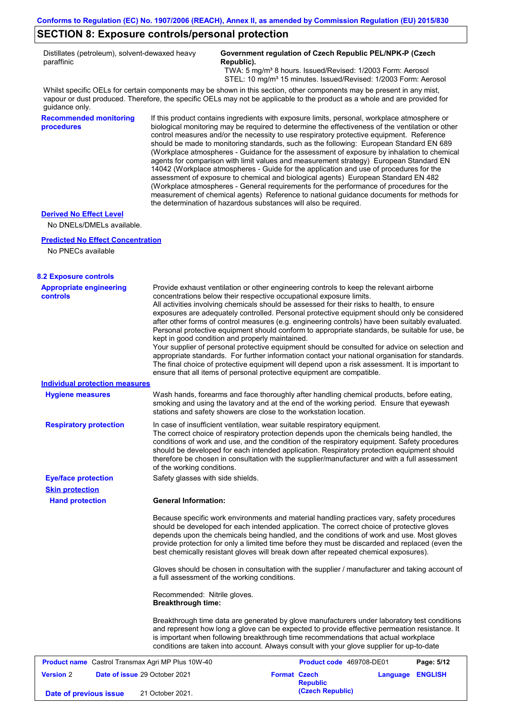## **SECTION 8: Exposure controls/personal protection**

|            | Distillates (petroleum), solvent-dewaxed heavy |
|------------|------------------------------------------------|
| paraffinic |                                                |

#### **Government regulation of Czech Republic PEL/NPK-P (Czech Republic).**

 TWA: 5 mg/m³ 8 hours. Issued/Revised: 1/2003 Form: Aerosol STEL: 10 mg/m<sup>3</sup> 15 minutes. Issued/Revised: 1/2003 Form: Aerosol

Whilst specific OELs for certain components may be shown in this section, other components may be present in any mist, vapour or dust produced. Therefore, the specific OELs may not be applicable to the product as a whole and are provided for guidance only.

**Recommended monitoring**  If this product contains ingredients with exposure limits, personal, workplace atmosphere or biological monitoring may be required to determine the effectiveness of the ventilation or other control measures and/or the necessity to use respiratory protective equipment. Reference should be made to monitoring standards, such as the following: European Standard EN 689 (Workplace atmospheres - Guidance for the assessment of exposure by inhalation to chemical agents for comparison with limit values and measurement strategy) European Standard EN 14042 (Workplace atmospheres - Guide for the application and use of procedures for the assessment of exposure to chemical and biological agents) European Standard EN 482 (Workplace atmospheres - General requirements for the performance of procedures for the measurement of chemical agents) Reference to national guidance documents for methods for the determination of hazardous substances will also be required.

#### **Derived No Effect Level**

**procedures**

No DNELs/DMELs available.

#### **Predicted No Effect Concentration**

No PNECs available

#### **8.2 Exposure controls**

| <b>Appropriate engineering</b><br><b>controls</b>        | Provide exhaust ventilation or other engineering controls to keep the relevant airborne<br>concentrations below their respective occupational exposure limits.<br>All activities involving chemicals should be assessed for their risks to health, to ensure<br>exposures are adequately controlled. Personal protective equipment should only be considered<br>after other forms of control measures (e.g. engineering controls) have been suitably evaluated.<br>Personal protective equipment should conform to appropriate standards, be suitable for use, be<br>kept in good condition and properly maintained.<br>Your supplier of personal protective equipment should be consulted for advice on selection and<br>appropriate standards. For further information contact your national organisation for standards.<br>The final choice of protective equipment will depend upon a risk assessment. It is important to<br>ensure that all items of personal protective equipment are compatible. |                     |                          |                  |            |  |
|----------------------------------------------------------|---------------------------------------------------------------------------------------------------------------------------------------------------------------------------------------------------------------------------------------------------------------------------------------------------------------------------------------------------------------------------------------------------------------------------------------------------------------------------------------------------------------------------------------------------------------------------------------------------------------------------------------------------------------------------------------------------------------------------------------------------------------------------------------------------------------------------------------------------------------------------------------------------------------------------------------------------------------------------------------------------------|---------------------|--------------------------|------------------|------------|--|
| <b>Individual protection measures</b>                    |                                                                                                                                                                                                                                                                                                                                                                                                                                                                                                                                                                                                                                                                                                                                                                                                                                                                                                                                                                                                         |                     |                          |                  |            |  |
| <b>Hygiene measures</b>                                  | Wash hands, forearms and face thoroughly after handling chemical products, before eating,<br>smoking and using the lavatory and at the end of the working period. Ensure that eyewash<br>stations and safety showers are close to the workstation location.                                                                                                                                                                                                                                                                                                                                                                                                                                                                                                                                                                                                                                                                                                                                             |                     |                          |                  |            |  |
| <b>Respiratory protection</b>                            | In case of insufficient ventilation, wear suitable respiratory equipment.<br>The correct choice of respiratory protection depends upon the chemicals being handled, the<br>conditions of work and use, and the condition of the respiratory equipment. Safety procedures<br>should be developed for each intended application. Respiratory protection equipment should<br>therefore be chosen in consultation with the supplier/manufacturer and with a full assessment<br>of the working conditions.                                                                                                                                                                                                                                                                                                                                                                                                                                                                                                   |                     |                          |                  |            |  |
| <b>Eye/face protection</b>                               | Safety glasses with side shields.                                                                                                                                                                                                                                                                                                                                                                                                                                                                                                                                                                                                                                                                                                                                                                                                                                                                                                                                                                       |                     |                          |                  |            |  |
| <b>Skin protection</b>                                   |                                                                                                                                                                                                                                                                                                                                                                                                                                                                                                                                                                                                                                                                                                                                                                                                                                                                                                                                                                                                         |                     |                          |                  |            |  |
| <b>Hand protection</b>                                   | <b>General Information:</b>                                                                                                                                                                                                                                                                                                                                                                                                                                                                                                                                                                                                                                                                                                                                                                                                                                                                                                                                                                             |                     |                          |                  |            |  |
|                                                          | Because specific work environments and material handling practices vary, safety procedures<br>should be developed for each intended application. The correct choice of protective gloves<br>depends upon the chemicals being handled, and the conditions of work and use. Most gloves<br>provide protection for only a limited time before they must be discarded and replaced (even the<br>best chemically resistant gloves will break down after repeated chemical exposures).                                                                                                                                                                                                                                                                                                                                                                                                                                                                                                                        |                     |                          |                  |            |  |
|                                                          | Gloves should be chosen in consultation with the supplier / manufacturer and taking account of<br>a full assessment of the working conditions.                                                                                                                                                                                                                                                                                                                                                                                                                                                                                                                                                                                                                                                                                                                                                                                                                                                          |                     |                          |                  |            |  |
|                                                          | Recommended: Nitrile gloves.<br><b>Breakthrough time:</b>                                                                                                                                                                                                                                                                                                                                                                                                                                                                                                                                                                                                                                                                                                                                                                                                                                                                                                                                               |                     |                          |                  |            |  |
|                                                          | Breakthrough time data are generated by glove manufacturers under laboratory test conditions<br>and represent how long a glove can be expected to provide effective permeation resistance. It<br>is important when following breakthrough time recommendations that actual workplace<br>conditions are taken into account. Always consult with your glove supplier for up-to-date                                                                                                                                                                                                                                                                                                                                                                                                                                                                                                                                                                                                                       |                     |                          |                  |            |  |
| <b>Product name</b> Castrol Transmax Agri MP Plus 10W-40 |                                                                                                                                                                                                                                                                                                                                                                                                                                                                                                                                                                                                                                                                                                                                                                                                                                                                                                                                                                                                         |                     | Product code 469708-DE01 |                  | Page: 5/12 |  |
| <b>Version 2</b>                                         | Date of issue 29 October 2021                                                                                                                                                                                                                                                                                                                                                                                                                                                                                                                                                                                                                                                                                                                                                                                                                                                                                                                                                                           | <b>Format Czech</b> | <b>Republic</b>          | Language ENGLISH |            |  |
| Date of previous issue                                   | 21 October 2021.                                                                                                                                                                                                                                                                                                                                                                                                                                                                                                                                                                                                                                                                                                                                                                                                                                                                                                                                                                                        |                     | (Czech Republic)         |                  |            |  |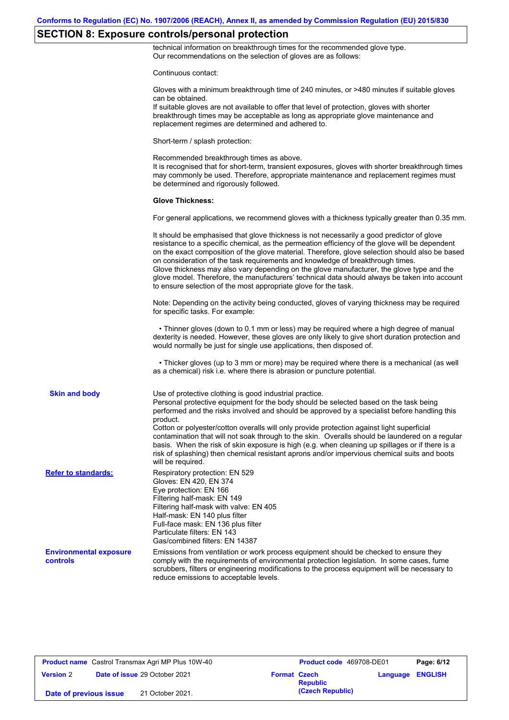## **SECTION 8: Exposure controls/personal protection**

technical information on breakthrough times for the recommended glove type. Our recommendations on the selection of gloves are as follows:

|                                                  | Continuous contact:                                                                                                                                                                                                                                                                                                                                                                                                                                                                                                                                                                                                                                                                   |
|--------------------------------------------------|---------------------------------------------------------------------------------------------------------------------------------------------------------------------------------------------------------------------------------------------------------------------------------------------------------------------------------------------------------------------------------------------------------------------------------------------------------------------------------------------------------------------------------------------------------------------------------------------------------------------------------------------------------------------------------------|
|                                                  | Gloves with a minimum breakthrough time of 240 minutes, or >480 minutes if suitable gloves<br>can be obtained.<br>If suitable gloves are not available to offer that level of protection, gloves with shorter<br>breakthrough times may be acceptable as long as appropriate glove maintenance and<br>replacement regimes are determined and adhered to.                                                                                                                                                                                                                                                                                                                              |
|                                                  | Short-term / splash protection:                                                                                                                                                                                                                                                                                                                                                                                                                                                                                                                                                                                                                                                       |
|                                                  | Recommended breakthrough times as above.<br>It is recognised that for short-term, transient exposures, gloves with shorter breakthrough times<br>may commonly be used. Therefore, appropriate maintenance and replacement regimes must<br>be determined and rigorously followed.                                                                                                                                                                                                                                                                                                                                                                                                      |
|                                                  | <b>Glove Thickness:</b>                                                                                                                                                                                                                                                                                                                                                                                                                                                                                                                                                                                                                                                               |
|                                                  | For general applications, we recommend gloves with a thickness typically greater than 0.35 mm.                                                                                                                                                                                                                                                                                                                                                                                                                                                                                                                                                                                        |
|                                                  | It should be emphasised that glove thickness is not necessarily a good predictor of glove<br>resistance to a specific chemical, as the permeation efficiency of the glove will be dependent<br>on the exact composition of the glove material. Therefore, glove selection should also be based<br>on consideration of the task requirements and knowledge of breakthrough times.<br>Glove thickness may also vary depending on the glove manufacturer, the glove type and the<br>glove model. Therefore, the manufacturers' technical data should always be taken into account<br>to ensure selection of the most appropriate glove for the task.                                     |
|                                                  | Note: Depending on the activity being conducted, gloves of varying thickness may be required<br>for specific tasks. For example:                                                                                                                                                                                                                                                                                                                                                                                                                                                                                                                                                      |
|                                                  | • Thinner gloves (down to 0.1 mm or less) may be required where a high degree of manual<br>dexterity is needed. However, these gloves are only likely to give short duration protection and<br>would normally be just for single use applications, then disposed of.                                                                                                                                                                                                                                                                                                                                                                                                                  |
|                                                  | • Thicker gloves (up to 3 mm or more) may be required where there is a mechanical (as well<br>as a chemical) risk i.e. where there is abrasion or puncture potential.                                                                                                                                                                                                                                                                                                                                                                                                                                                                                                                 |
| <b>Skin and body</b>                             | Use of protective clothing is good industrial practice.<br>Personal protective equipment for the body should be selected based on the task being<br>performed and the risks involved and should be approved by a specialist before handling this<br>product.<br>Cotton or polyester/cotton overalls will only provide protection against light superficial<br>contamination that will not soak through to the skin. Overalls should be laundered on a regular<br>basis. When the risk of skin exposure is high (e.g. when cleaning up spillages or if there is a<br>risk of splashing) then chemical resistant aprons and/or impervious chemical suits and boots<br>will be required. |
| <b>Refer to standards:</b>                       | Respiratory protection: EN 529<br>Gloves: EN 420, EN 374<br>Eye protection: EN 166<br>Filtering half-mask: EN 149<br>Filtering half-mask with valve: EN 405<br>Half-mask: EN 140 plus filter<br>Full-face mask: EN 136 plus filter<br>Particulate filters: EN 143<br>Gas/combined filters: EN 14387                                                                                                                                                                                                                                                                                                                                                                                   |
| <b>Environmental exposure</b><br><b>controls</b> | Emissions from ventilation or work process equipment should be checked to ensure they<br>comply with the requirements of environmental protection legislation. In some cases, fume<br>scrubbers, filters or engineering modifications to the process equipment will be necessary to<br>reduce emissions to acceptable levels.                                                                                                                                                                                                                                                                                                                                                         |

**Product name** Castrol Transmax Agri MP Plus 10W-40 **Product code** 469708-DE01 **Page: 6/12 Version** 2 **Date of issue** 29 October 2021 **Format Czech Republic Language ENGLISH (Czech Republic) Date of previous issue** 21 October 2021.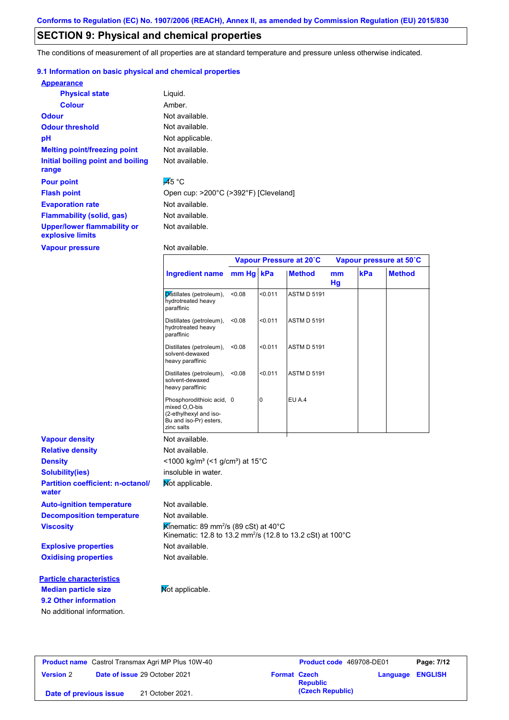## **SECTION 9: Physical and chemical properties**

The conditions of measurement of all properties are at standard temperature and pressure unless otherwise indicated.

#### **9.1 Information on basic physical and chemical properties**

| <b>Appearance</b>                                      |                    |
|--------------------------------------------------------|--------------------|
| <b>Physical state</b>                                  | Liquid.            |
| <b>Colour</b>                                          | Amber.             |
| <b>Odour</b>                                           | Not available.     |
| <b>Odour threshold</b>                                 | Not available.     |
| рH                                                     | Not applicable.    |
| <b>Melting point/freezing point</b>                    | Not available.     |
| Initial boiling point and boiling<br>range             | Not available.     |
| <b>Pour point</b>                                      | $\overline{45}$ °C |
| <b>Flash point</b>                                     | Open cup: >200°C   |
| <b>Evaporation rate</b>                                | Not available.     |
| <b>Flammability (solid, gas)</b>                       | Not available.     |
| <b>Upper/lower flammability or</b><br>explosive limits | Not available.     |
| <b>Vapour pressure</b>                                 | Not available.     |

Not available. Not applicable. Not available.

> Not available. <sup>o</sup>C (>392°F) [Cleveland]

|                                                      |                                                                                                                                        |           |                | Vapour Pressure at 20°C |          | Vapour pressure at 50°C |               |
|------------------------------------------------------|----------------------------------------------------------------------------------------------------------------------------------------|-----------|----------------|-------------------------|----------|-------------------------|---------------|
|                                                      | <b>Ingredient name</b>                                                                                                                 | mm Hg kPa |                | <b>Method</b>           | mm<br>Hg | kPa                     | <b>Method</b> |
|                                                      | Distillates (petroleum),<br>hydrotreated heavy<br>paraffinic                                                                           | < 0.08    | < 0.011        | <b>ASTM D 5191</b>      |          |                         |               |
|                                                      | Distillates (petroleum),<br>hydrotreated heavy<br>paraffinic                                                                           | <0.08     | < 0.011        | <b>ASTM D 5191</b>      |          |                         |               |
|                                                      | Distillates (petroleum),<br>solvent-dewaxed<br>heavy paraffinic                                                                        | < 0.08    | < 0.011        | <b>ASTM D 5191</b>      |          |                         |               |
|                                                      | Distillates (petroleum),<br>solvent-dewaxed<br>heavy paraffinic                                                                        | < 0.08    | < 0.011        | <b>ASTM D 5191</b>      |          |                         |               |
|                                                      | Phosphorodithioic acid, 0<br>mixed O,O-bis<br>(2-ethylhexyl and iso-<br>Bu and iso-Pr) esters,<br>zinc salts                           |           | $\overline{0}$ | <b>EU A.4</b>           |          |                         |               |
| <b>Vapour density</b>                                | Not available.                                                                                                                         |           |                |                         |          |                         |               |
| <b>Relative density</b>                              | Not available.                                                                                                                         |           |                |                         |          |                         |               |
| <b>Density</b>                                       | <1000 kg/m <sup>3</sup> (<1 g/cm <sup>3</sup> ) at 15°C                                                                                |           |                |                         |          |                         |               |
| <b>Solubility(ies)</b>                               | insoluble in water.                                                                                                                    |           |                |                         |          |                         |               |
| <b>Partition coefficient: n-octanol/</b><br>water    | Not applicable.                                                                                                                        |           |                |                         |          |                         |               |
| <b>Auto-ignition temperature</b>                     | Not available.                                                                                                                         |           |                |                         |          |                         |               |
| <b>Decomposition temperature</b>                     | Not available.                                                                                                                         |           |                |                         |          |                         |               |
| <b>Viscosity</b>                                     | Kinematic: 89 mm <sup>2</sup> /s (89 cSt) at 40 $^{\circ}$ C<br>Kinematic: 12.8 to 13.2 mm <sup>2</sup> /s (12.8 to 13.2 cSt) at 100°C |           |                |                         |          |                         |               |
| <b>Explosive properties</b>                          | Not available.                                                                                                                         |           |                |                         |          |                         |               |
| <b>Oxidising properties</b>                          | Not available.                                                                                                                         |           |                |                         |          |                         |               |
| <b>Particle characteristics</b>                      |                                                                                                                                        |           |                |                         |          |                         |               |
| <b>Median particle size</b><br>9.2 Other information | Mot applicable.                                                                                                                        |           |                |                         |          |                         |               |
| No additional information.                           |                                                                                                                                        |           |                |                         |          |                         |               |

**Product name** Castrol Transmax Agri MP Plus 10W-40 **Product code** 469708-DE01 **Page: 7/12 Version** 2 **Date of issue** 29 October 2021 **Format Czech Republic Language ENGLISH (Czech Republic) Date of previous issue** 21 October 2021.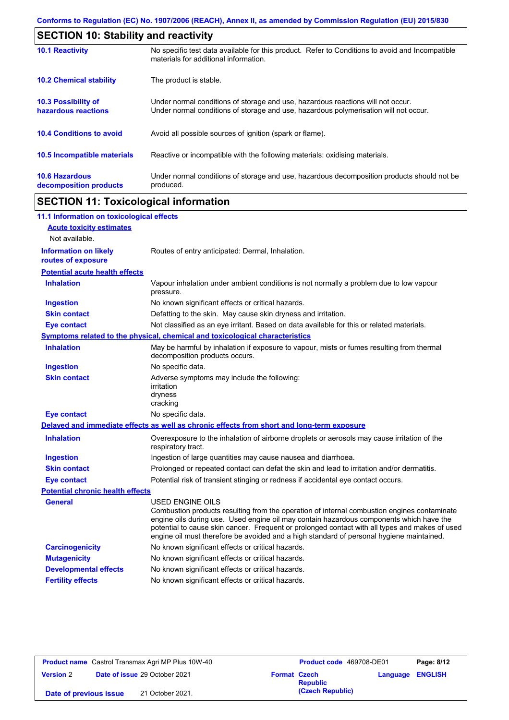| <b>SECTION 10: Stability and reactivity</b>       |                                                                                                                                                                         |  |  |  |
|---------------------------------------------------|-------------------------------------------------------------------------------------------------------------------------------------------------------------------------|--|--|--|
| <b>10.1 Reactivity</b>                            | No specific test data available for this product. Refer to Conditions to avoid and Incompatible<br>materials for additional information.                                |  |  |  |
| <b>10.2 Chemical stability</b>                    | The product is stable.                                                                                                                                                  |  |  |  |
| <b>10.3 Possibility of</b><br>hazardous reactions | Under normal conditions of storage and use, hazardous reactions will not occur.<br>Under normal conditions of storage and use, hazardous polymerisation will not occur. |  |  |  |
| <b>10.4 Conditions to avoid</b>                   | Avoid all possible sources of ignition (spark or flame).                                                                                                                |  |  |  |
| <b>10.5 Incompatible materials</b>                | Reactive or incompatible with the following materials: oxidising materials.                                                                                             |  |  |  |
| <b>10.6 Hazardous</b><br>decomposition products   | Under normal conditions of storage and use, hazardous decomposition products should not be<br>produced.                                                                 |  |  |  |

# **SECTION 11: Toxicological information**

| 11.1 Information on toxicological effects          |                                                                                                                                                                                                                                                                                                                                                                                                                 |
|----------------------------------------------------|-----------------------------------------------------------------------------------------------------------------------------------------------------------------------------------------------------------------------------------------------------------------------------------------------------------------------------------------------------------------------------------------------------------------|
| <b>Acute toxicity estimates</b>                    |                                                                                                                                                                                                                                                                                                                                                                                                                 |
| Not available.                                     |                                                                                                                                                                                                                                                                                                                                                                                                                 |
| <b>Information on likely</b><br>routes of exposure | Routes of entry anticipated: Dermal, Inhalation.                                                                                                                                                                                                                                                                                                                                                                |
| <b>Potential acute health effects</b>              |                                                                                                                                                                                                                                                                                                                                                                                                                 |
| <b>Inhalation</b>                                  | Vapour inhalation under ambient conditions is not normally a problem due to low vapour<br>pressure.                                                                                                                                                                                                                                                                                                             |
| <b>Ingestion</b>                                   | No known significant effects or critical hazards.                                                                                                                                                                                                                                                                                                                                                               |
| <b>Skin contact</b>                                | Defatting to the skin. May cause skin dryness and irritation.                                                                                                                                                                                                                                                                                                                                                   |
| <b>Eye contact</b>                                 | Not classified as an eye irritant. Based on data available for this or related materials.                                                                                                                                                                                                                                                                                                                       |
|                                                    | Symptoms related to the physical, chemical and toxicological characteristics                                                                                                                                                                                                                                                                                                                                    |
| <b>Inhalation</b>                                  | May be harmful by inhalation if exposure to vapour, mists or fumes resulting from thermal<br>decomposition products occurs.                                                                                                                                                                                                                                                                                     |
| <b>Ingestion</b>                                   | No specific data.                                                                                                                                                                                                                                                                                                                                                                                               |
| <b>Skin contact</b>                                | Adverse symptoms may include the following:<br>irritation<br>dryness<br>cracking                                                                                                                                                                                                                                                                                                                                |
| <b>Eye contact</b>                                 | No specific data.                                                                                                                                                                                                                                                                                                                                                                                               |
|                                                    | Delayed and immediate effects as well as chronic effects from short and long-term exposure                                                                                                                                                                                                                                                                                                                      |
| <b>Inhalation</b>                                  | Overexposure to the inhalation of airborne droplets or aerosols may cause irritation of the<br>respiratory tract.                                                                                                                                                                                                                                                                                               |
| <b>Ingestion</b>                                   | Ingestion of large quantities may cause nausea and diarrhoea.                                                                                                                                                                                                                                                                                                                                                   |
| <b>Skin contact</b>                                | Prolonged or repeated contact can defat the skin and lead to irritation and/or dermatitis.                                                                                                                                                                                                                                                                                                                      |
| <b>Eye contact</b>                                 | Potential risk of transient stinging or redness if accidental eye contact occurs.                                                                                                                                                                                                                                                                                                                               |
| <b>Potential chronic health effects</b>            |                                                                                                                                                                                                                                                                                                                                                                                                                 |
| General                                            | <b>USED ENGINE OILS</b><br>Combustion products resulting from the operation of internal combustion engines contaminate<br>engine oils during use. Used engine oil may contain hazardous components which have the<br>potential to cause skin cancer. Frequent or prolonged contact with all types and makes of used<br>engine oil must therefore be avoided and a high standard of personal hygiene maintained. |
| <b>Carcinogenicity</b>                             | No known significant effects or critical hazards.                                                                                                                                                                                                                                                                                                                                                               |
| <b>Mutagenicity</b>                                | No known significant effects or critical hazards.                                                                                                                                                                                                                                                                                                                                                               |
| <b>Developmental effects</b>                       | No known significant effects or critical hazards.                                                                                                                                                                                                                                                                                                                                                               |
| <b>Fertility effects</b>                           | No known significant effects or critical hazards.                                                                                                                                                                                                                                                                                                                                                               |

| <b>Product name</b> Castrol Transmax Agri MP Plus 10W-40 |  |                     | Product code 469708-DE01 |                         | Page: 8/12 |
|----------------------------------------------------------|--|---------------------|--------------------------|-------------------------|------------|
| <b>Date of issue 29 October 2021</b><br><b>Version 2</b> |  | <b>Format Czech</b> | <b>Republic</b>          | <b>Language ENGLISH</b> |            |
| 21 October 2021.<br>Date of previous issue               |  |                     | (Czech Republic)         |                         |            |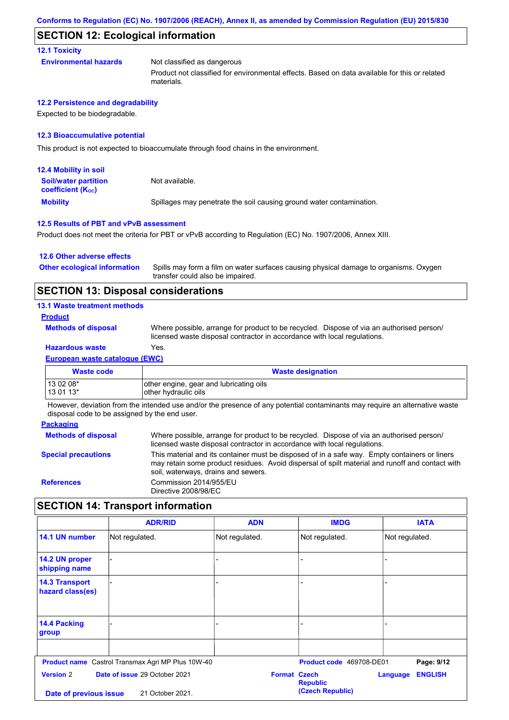#### **SECTION 12: Ecological information**

**12.1 Toxicity**

| Not classified as dangerous                                                                                |
|------------------------------------------------------------------------------------------------------------|
| Product not classified for environmental effects. Based on data available for this or related<br>materials |

#### **12.2 Persistence and degradability**

Expected to be biodegradable.

**Environmental hazards** 

#### **12.3 Bioaccumulative potential**

This product is not expected to bioaccumulate through food chains in the environment.

| <b>12.4 Mobility in soil</b>                            |                                                                      |
|---------------------------------------------------------|----------------------------------------------------------------------|
| <b>Soil/water partition</b><br><b>coefficient (Koc)</b> | Not available.                                                       |
| <b>Mobility</b>                                         | Spillages may penetrate the soil causing ground water contamination. |

#### **12.5 Results of PBT and vPvB assessment**

Product does not meet the criteria for PBT or vPvB according to Regulation (EC) No. 1907/2006, Annex XIII.

#### **12.6 Other adverse effects**

Spills may form a film on water surfaces causing physical damage to organisms. Oxygen transfer could also be impaired. **Other ecological information**

### **SECTION 13: Disposal considerations**

#### **13.1 Waste treatment methods**

#### **Product**

**Methods of disposal**

Where possible, arrange for product to be recycled. Dispose of via an authorised person/ licensed waste disposal contractor in accordance with local regulations.

### **Hazardous waste** Yes.

**European waste catalogue (EWC)**

| <b>Waste code</b> | <b>Waste designation</b>                |
|-------------------|-----------------------------------------|
| $130208*$         | other engine, gear and lubricating oils |
| $130113*$         | other hydraulic oils                    |

However, deviation from the intended use and/or the presence of any potential contaminants may require an alternative waste disposal code to be assigned by the end user.

#### **Packaging**

| Where possible, arrange for product to be recycled. Dispose of via an authorised person/<br>licensed waste disposal contractor in accordance with local regulations.                                                                    |
|-----------------------------------------------------------------------------------------------------------------------------------------------------------------------------------------------------------------------------------------|
| This material and its container must be disposed of in a safe way. Empty containers or liners<br>may retain some product residues. Avoid dispersal of spilt material and runoff and contact with<br>soil, waterways, drains and sewers. |
| Commission 2014/955/EU<br>Directive 2008/98/EC                                                                                                                                                                                          |
|                                                                                                                                                                                                                                         |

## **SECTION 14: Transport information**

|                                                   | <b>ADR/RID</b>                                           | <b>ADN</b>     | <b>IMDG</b>                            | <b>IATA</b>                |
|---------------------------------------------------|----------------------------------------------------------|----------------|----------------------------------------|----------------------------|
| 14.1 UN number                                    | Not regulated.                                           | Not regulated. | Not regulated.                         | Not regulated.             |
| 14.2 UN proper<br>shipping name                   |                                                          |                |                                        |                            |
| <b>14.3 Transport</b><br>hazard class(es)         |                                                          |                |                                        |                            |
| <b>14.4 Packing</b><br>group                      |                                                          |                |                                        |                            |
|                                                   | <b>Product name</b> Castrol Transmax Agri MP Plus 10W-40 |                | Product code 469708-DE01               | Page: 9/12                 |
| <b>Version 2</b><br>Date of issue 29 October 2021 |                                                          |                | <b>Format Czech</b><br><b>Republic</b> | <b>ENGLISH</b><br>Language |
| Date of previous issue                            | 21 October 2021.                                         |                | (Czech Republic)                       |                            |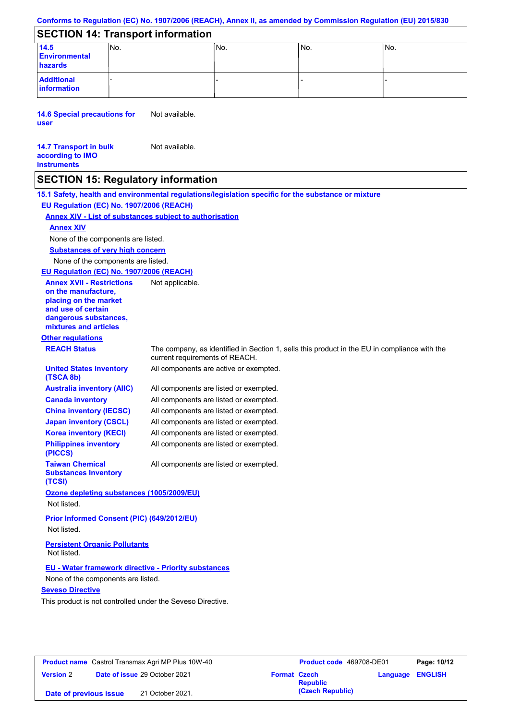## **SECTION 14: Transport information**

| 14.5<br><b>Environmental</b><br>hazards | INo. | lNo. | ۱No. | INo. |
|-----------------------------------------|------|------|------|------|
| <b>Additional</b><br>information        |      |      |      |      |

**14.6 Special precautions for user** Not available.

#### **14.7 Transport in bulk according to IMO instruments** Not available.

## **SECTION 15: Regulatory information**

**15.1 Safety, health and environmental regulations/legislation specific for the substance or mixture EU Regulation (EC) No. 1907/2006 (REACH)**

## **Annex XIV - List of substances subject to authorisation**

#### **Annex XIV**

None of the components are listed.

**Substances of very high concern**

None of the components are listed.

#### **EU Regulation (EC) No. 1907/2006 (REACH)**

**Other regulations REACH Status** The company, as identified in Section 1, sells this product in the EU in compliance with the current requirements of REACH. All components are listed or exempted. All components are listed or exempted. All components are listed or exempted. All components are listed or exempted. All components are active or exempted. All components are listed or exempted. All components are listed or exempted. **United States inventory (TSCA 8b) Australia inventory (AIIC) Canada inventory China inventory (IECSC) Japan inventory (CSCL) Korea inventory (KECI) Philippines inventory (PICCS) Taiwan Chemical Substances Inventory (TCSI)** All components are listed or exempted. **Ozone depleting substances (1005/2009/EU)** Not listed. **Prior Informed Consent (PIC) (649/2012/EU)** Not listed. **Seveso Directive** This product is not controlled under the Seveso Directive. **EU - Water framework directive - Priority substances** None of the components are listed. **Annex XVII - Restrictions on the manufacture, placing on the market and use of certain dangerous substances, mixtures and articles** Not applicable. **Persistent Organic Pollutants** Not listed.

| <b>Product name</b> Castrol Transmax Agri MP Plus 10W-40 |  |                                      | <b>Product code</b> 469708-DE01 |                  | Page: 10/12             |  |
|----------------------------------------------------------|--|--------------------------------------|---------------------------------|------------------|-------------------------|--|
| <b>Version 2</b>                                         |  | <b>Date of issue 29 October 2021</b> | <b>Format Czech</b>             | <b>Republic</b>  | <b>Language ENGLISH</b> |  |
| 21 October 2021.<br>Date of previous issue               |  |                                      |                                 | (Czech Republic) |                         |  |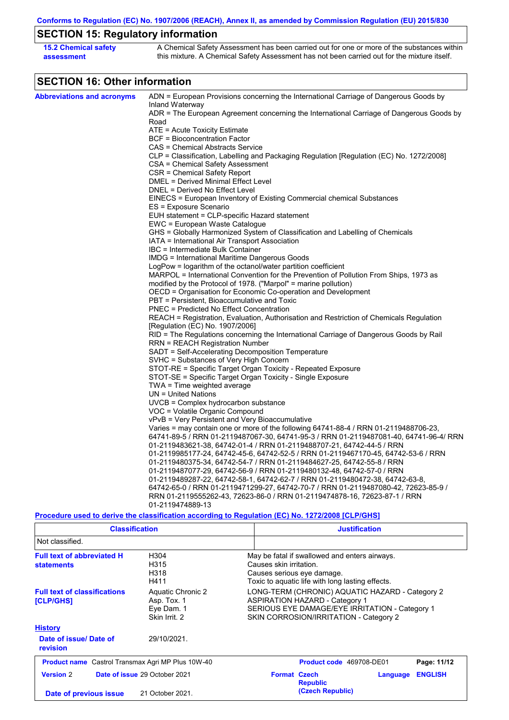# **SECTION 15: Regulatory information**

| 15.2 Chemical safety | A Chemical Safety Assessment has been carried out for one or more of the substances within  |
|----------------------|---------------------------------------------------------------------------------------------|
| assessment           | this mixture. A Chemical Safety Assessment has not been carried out for the mixture itself. |

# **SECTION 16: Other information**

| <b>Abbreviations and acronyms</b> | ADN = European Provisions concerning the International Carriage of Dangerous Goods by                       |
|-----------------------------------|-------------------------------------------------------------------------------------------------------------|
|                                   | Inland Waterway<br>ADR = The European Agreement concerning the International Carriage of Dangerous Goods by |
|                                   | Road                                                                                                        |
|                                   | $ATE = Acute Toxicity Estimate$                                                                             |
|                                   | <b>BCF</b> = Bioconcentration Factor                                                                        |
|                                   | CAS = Chemical Abstracts Service                                                                            |
|                                   | CLP = Classification, Labelling and Packaging Regulation [Regulation (EC) No. 1272/2008]                    |
|                                   | CSA = Chemical Safety Assessment                                                                            |
|                                   | CSR = Chemical Safety Report                                                                                |
|                                   | DMEL = Derived Minimal Effect Level                                                                         |
|                                   | DNEL = Derived No Effect Level                                                                              |
|                                   | EINECS = European Inventory of Existing Commercial chemical Substances                                      |
|                                   | ES = Exposure Scenario                                                                                      |
|                                   | EUH statement = CLP-specific Hazard statement                                                               |
|                                   | EWC = European Waste Catalogue                                                                              |
|                                   | GHS = Globally Harmonized System of Classification and Labelling of Chemicals                               |
|                                   | IATA = International Air Transport Association                                                              |
|                                   | IBC = Intermediate Bulk Container                                                                           |
|                                   | IMDG = International Maritime Dangerous Goods                                                               |
|                                   | LogPow = logarithm of the octanol/water partition coefficient                                               |
|                                   | MARPOL = International Convention for the Prevention of Pollution From Ships, 1973 as                       |
|                                   | modified by the Protocol of 1978. ("Marpol" = marine pollution)                                             |
|                                   | OECD = Organisation for Economic Co-operation and Development                                               |
|                                   | PBT = Persistent, Bioaccumulative and Toxic                                                                 |
|                                   | <b>PNEC = Predicted No Effect Concentration</b>                                                             |
|                                   | REACH = Registration, Evaluation, Authorisation and Restriction of Chemicals Regulation                     |
|                                   | [Regulation (EC) No. 1907/2006]                                                                             |
|                                   | RID = The Regulations concerning the International Carriage of Dangerous Goods by Rail                      |
|                                   | RRN = REACH Registration Number                                                                             |
|                                   | SADT = Self-Accelerating Decomposition Temperature                                                          |
|                                   | SVHC = Substances of Very High Concern                                                                      |
|                                   | STOT-RE = Specific Target Organ Toxicity - Repeated Exposure                                                |
|                                   | STOT-SE = Specific Target Organ Toxicity - Single Exposure                                                  |
|                                   | $TWA = Time weighted average$                                                                               |
|                                   | $UN = United Nations$                                                                                       |
|                                   | UVCB = Complex hydrocarbon substance                                                                        |
|                                   | VOC = Volatile Organic Compound                                                                             |
|                                   | vPvB = Very Persistent and Very Bioaccumulative                                                             |
|                                   | Varies = may contain one or more of the following 64741-88-4 / RRN 01-2119488706-23,                        |
|                                   | 64741-89-5 / RRN 01-2119487067-30, 64741-95-3 / RRN 01-2119487081-40, 64741-96-4/ RRN                       |
|                                   | 01-2119483621-38, 64742-01-4 / RRN 01-2119488707-21, 64742-44-5 / RRN                                       |
|                                   | 01-2119985177-24, 64742-45-6, 64742-52-5 / RRN 01-2119467170-45, 64742-53-6 / RRN                           |
|                                   | 01-2119480375-34, 64742-54-7 / RRN 01-2119484627-25, 64742-55-8 / RRN                                       |
|                                   | 01-2119487077-29, 64742-56-9 / RRN 01-2119480132-48, 64742-57-0 / RRN                                       |
|                                   | 01-2119489287-22, 64742-58-1, 64742-62-7 / RRN 01-2119480472-38, 64742-63-8,                                |
|                                   | 64742-65-0 / RRN 01-2119471299-27, 64742-70-7 / RRN 01-2119487080-42, 72623-85-9 /                          |
|                                   | RRN 01-2119555262-43, 72623-86-0 / RRN 01-2119474878-16, 72623-87-1 / RRN                                   |
|                                   | 01-2119474889-13                                                                                            |
|                                   | Procedure used to derive the classification according to Regulation (EC) No. 1272/2008 [CLP/GHS]            |
|                                   |                                                                                                             |

| <b>Classification</b>                                                                                                      |                                                                                                                                                            |                                                                                                                                                                                      | <b>Justification</b>            |          |                |
|----------------------------------------------------------------------------------------------------------------------------|------------------------------------------------------------------------------------------------------------------------------------------------------------|--------------------------------------------------------------------------------------------------------------------------------------------------------------------------------------|---------------------------------|----------|----------------|
| Not classified.                                                                                                            |                                                                                                                                                            |                                                                                                                                                                                      |                                 |          |                |
| <b>Full text of abbreviated H</b><br><b>statements</b>                                                                     | May be fatal if swallowed and enters airways.<br>Causes skin irritation.<br>Causes serious eye damage.<br>Toxic to aquatic life with long lasting effects. |                                                                                                                                                                                      |                                 |          |                |
| <b>Full text of classifications</b><br>Aquatic Chronic 2<br>Asp. Tox. 1<br><b>[CLP/GHS]</b><br>Eye Dam. 1<br>Skin Irrit. 2 |                                                                                                                                                            | LONG-TERM (CHRONIC) AQUATIC HAZARD - Category 2<br><b>ASPIRATION HAZARD - Category 1</b><br>SERIOUS EYE DAMAGE/EYE IRRITATION - Category 1<br>SKIN CORROSION/IRRITATION - Category 2 |                                 |          |                |
| <b>History</b><br>Date of issue/ Date of<br>revision                                                                       | 29/10/2021.                                                                                                                                                |                                                                                                                                                                                      |                                 |          |                |
| <b>Product name</b> Castrol Transmax Agri MP Plus 10W-40                                                                   |                                                                                                                                                            |                                                                                                                                                                                      | <b>Product code</b> 469708-DE01 |          | Page: 11/12    |
| <b>Version 2</b>                                                                                                           | Date of issue 29 October 2021                                                                                                                              | <b>Format Czech</b>                                                                                                                                                                  | <b>Republic</b>                 | Language | <b>ENGLISH</b> |
| Date of previous issue                                                                                                     | 21 October 2021.                                                                                                                                           |                                                                                                                                                                                      | (Czech Republic)                |          |                |